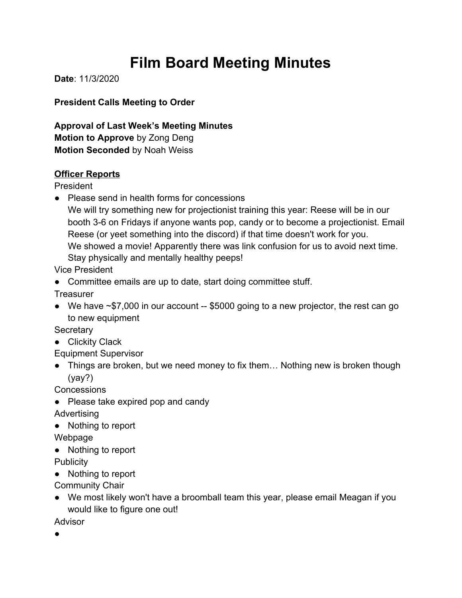# **Film Board Meeting Minutes**

**Date**: 11/3/2020

**President Calls Meeting to Order**

**Approval of Last Week's Meeting Minutes Motion to Approve** by Zong Deng **Motion Seconded** by Noah Weiss

#### **Officer Reports**

President

- Please send in health forms for concessions
	- We will try something new for projectionist training this year: Reese will be in our booth 3-6 on Fridays if anyone wants pop, candy or to become a projectionist. Email Reese (or yeet something into the discord) if that time doesn't work for you. We showed a movie! Apparently there was link confusion for us to avoid next time. Stay physically and mentally healthy peeps!

Vice President

● Committee emails are up to date, start doing committee stuff.

**Treasurer** 

● We have ~\$7,000 in our account -- \$5000 going to a new projector, the rest can go to new equipment

**Secretary** 

● Clickity Clack

Equipment Supervisor

• Things are broken, but we need money to fix them... Nothing new is broken though (yay?)

**Concessions** 

● Please take expired pop and candy

Advertising

● Nothing to report

Webpage

● Nothing to report

**Publicity** 

● Nothing to report

Community Chair

● We most likely won't have a broomball team this year, please email Meagan if you would like to figure one out!

Advisor

●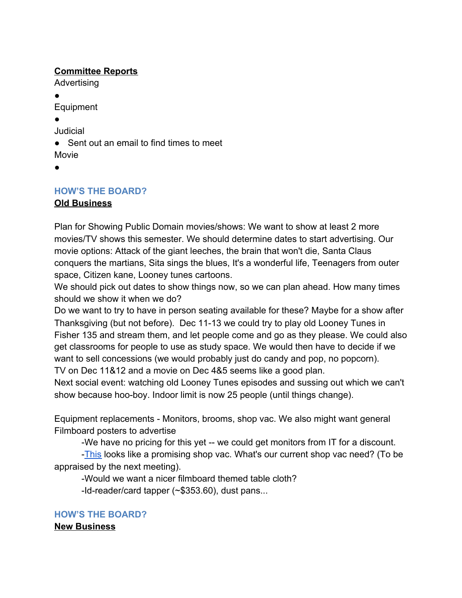#### **Committee Reports**

Advertising

●

Equipment

●

Judicial

● Sent out an email to find times to meet Movie

●

## **HOW'S THE BOARD?**

### **Old Business**

Plan for Showing Public Domain movies/shows: We want to show at least 2 more movies/TV shows this semester. We should determine dates to start advertising. Our movie options: Attack of the giant leeches, the brain that won't die, Santa Claus conquers the martians, Sita sings the blues, It's a wonderful life, Teenagers from outer space, Citizen kane, Looney tunes cartoons.

We should pick out dates to show things now, so we can plan ahead. How many times should we show it when we do?

Do we want to try to have in person seating available for these? Maybe for a show after Thanksgiving (but not before). Dec 11-13 we could try to play old Looney Tunes in Fisher 135 and stream them, and let people come and go as they please. We could also get classrooms for people to use as study space. We would then have to decide if we want to sell concessions (we would probably just do candy and pop, no popcorn). TV on Dec 11&12 and a movie on Dec 4&5 seems like a good plan.

Next social event: watching old Looney Tunes episodes and sussing out which we can't show because hoo-boy. Indoor limit is now 25 people (until things change).

Equipment replacements - Monitors, brooms, shop vac. We also might want general Filmboard posters to advertise

-We have no pricing for this yet -- we could get monitors from IT for a discount.

-[This](https://www.homedepot.com/p/RIDGID-16-Gal-6-5-Peak-HP-NXT-Wet-Dry-Shop-Vacuum-with-Detachable-Blower-Filter-Hose-and-Accessories-HD1600/304795082) looks like a promising shop vac. What's our current shop vac need? (To be appraised by the next meeting).

-Would we want a nicer filmboard themed table cloth?

-Id-reader/card tapper (~\$353.60), dust pans...

**HOW'S THE BOARD? New Business**